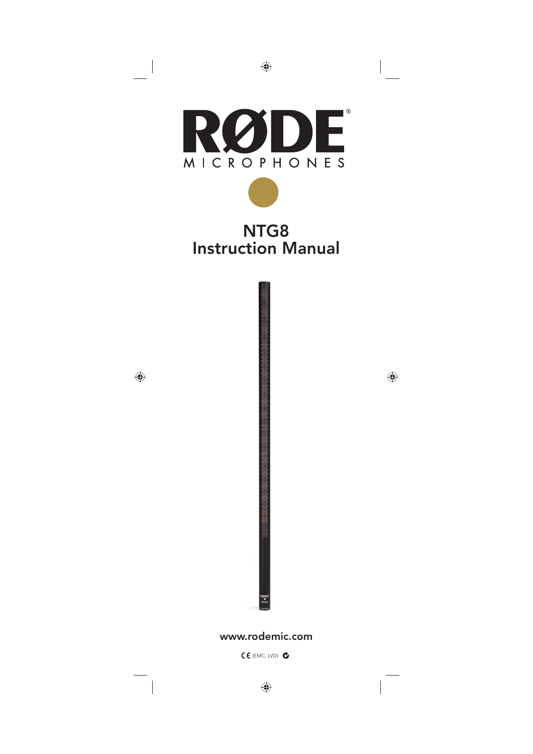

### NTG8 Instruction Manual



#### www.rodemic.com

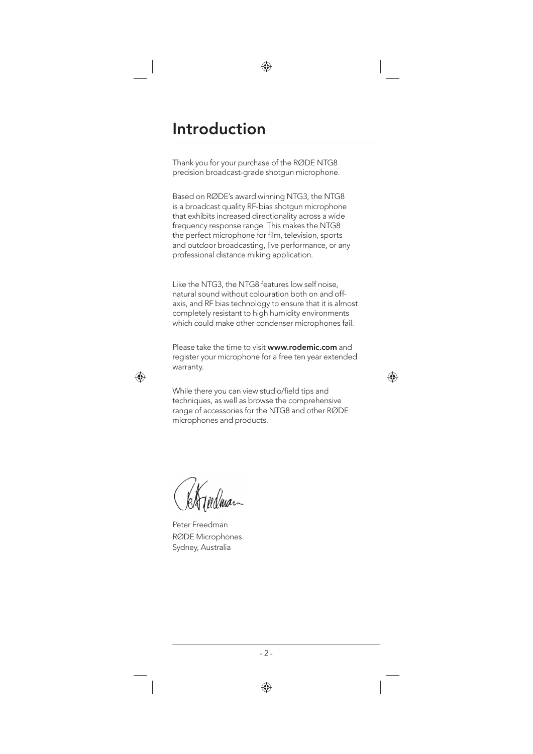### Introduction

Thank you for your purchase of the RØDE NTG8 precision broadcast-grade shotgun microphone.

Based on RØDE's award winning NTG3, the NTG8 is a broadcast quality RF-bias shotgun microphone that exhibits increased directionality across a wide frequency response range. This makes the NTG8 the perfect microphone for film, television, sports and outdoor broadcasting, live performance, or any professional distance miking application.

Like the NTG3, the NTG8 features low self noise, natural sound without colouration both on and offaxis, and RF bias technology to ensure that it is almost completely resistant to high humidity environments which could make other condenser microphones fail.

Please take the time to visit www.rodemic.com and register your microphone for a free ten year extended warranty.

While there you can view studio/field tips and techniques, as well as browse the comprehensive range of accessories for the NTG8 and other RØDE microphones and products.

Christinan

Peter Freedman RØDE Microphones Sydney, Australia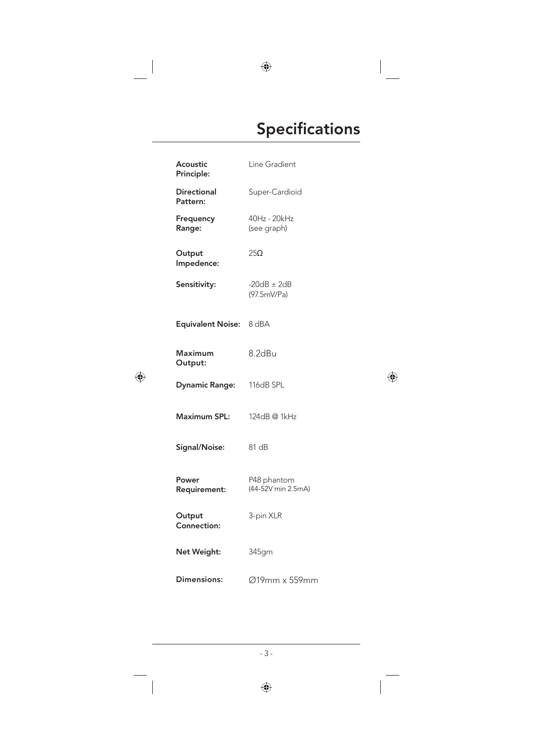# Specifications

| Acoustic<br>Principle:         | Line Gradient                     |
|--------------------------------|-----------------------------------|
| <b>Directional</b><br>Pattern: | Super-Cardioid                    |
| Frequency<br>Range:            | 40Hz - 20kHz<br>(see graph)       |
| Output<br>Impedence:           | $25\Omega$                        |
| Sensitivity:                   | $-20dB \pm 2dB$<br>(97.5mV/Pa)    |
| Equivalent Noise: 8 dBA        |                                   |
| <b>Maximum</b><br>Output:      | 8.2dBu                            |
| <b>Dynamic Range:</b>          | 116dB SPL                         |
| Maximum SPL:                   | 124dB @ 1kHz                      |
| Signal/Noise:                  | 81 dB                             |
| Power<br>Requirement:          | P48 phantom<br>(44-52V min 2.5mA) |
| Output<br>Connection:          | 3-pin XLR                         |
| Net Weight:                    | 345gm                             |
| Dimensions:                    | Ø19mm x 559mm                     |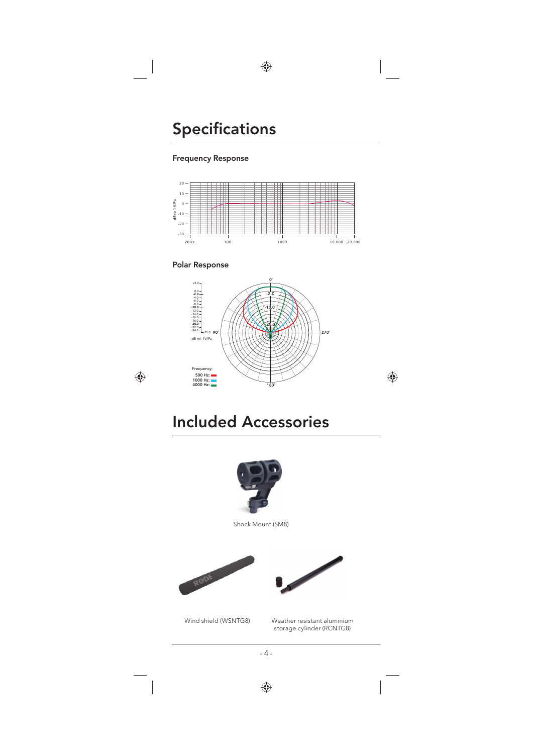### Specifications

#### Frequency Response



#### Polar Response



### Included Accessories



Shock Mount (SM8)







Wind shield (WSNTG8) Weather resistant aluminium storage cylinder (RCNTG8)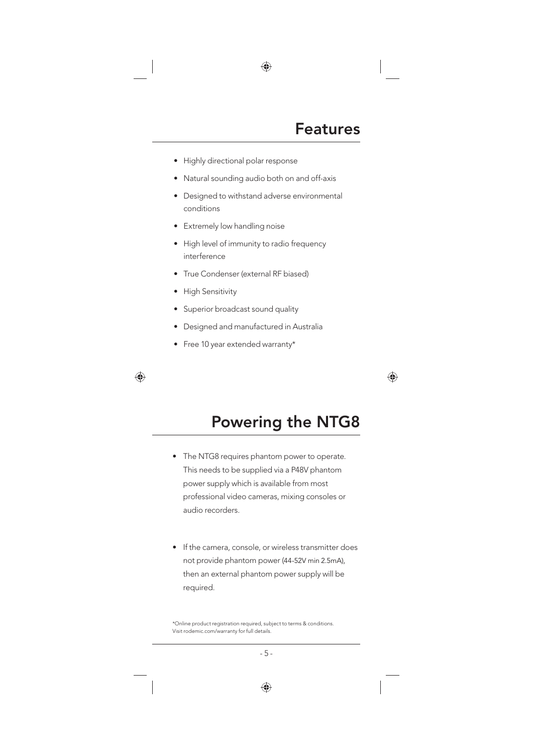- Highly directional polar response
- Natural sounding audio both on and off-axis
- Designed to withstand adverse environmental conditions
- Extremely low handling noise
- High level of immunity to radio frequency interference
- True Condenser (external RF biased)
- High Sensitivity
- Superior broadcast sound quality
- Designed and manufactured in Australia
- Free 10 year extended warranty\*

## Powering the NTG8

- The NTG8 requires phantom power to operate. This needs to be supplied via a P48V phantom power supply which is available from most professional video cameras, mixing consoles or audio recorders.
- If the camera, console, or wireless transmitter does not provide phantom power (44-52V min 2.5mA), then an external phantom power supply will be required.

<sup>\*</sup>Online product registration required, subject to terms & conditions. Visit rodemic.com/warranty for full details.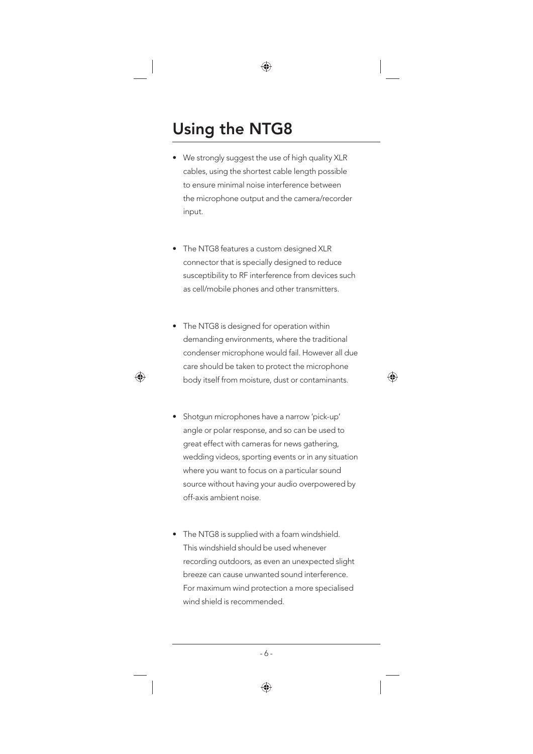# Using the NTG8

- We strongly suggest the use of high quality XLR cables, using the shortest cable length possible to ensure minimal noise interference between the microphone output and the camera/recorder input.
- The NTG8 features a custom designed XLR connector that is specially designed to reduce susceptibility to RF interference from devices such as cell/mobile phones and other transmitters.
- The NTG8 is designed for operation within demanding environments, where the traditional condenser microphone would fail. However all due care should be taken to protect the microphone body itself from moisture, dust or contaminants.
- Shotgun microphones have a narrow 'pick-up' angle or polar response, and so can be used to great effect with cameras for news gathering, wedding videos, sporting events or in any situation where you want to focus on a particular sound source without having your audio overpowered by off-axis ambient noise.
- The NTG8 is supplied with a foam windshield. This windshield should be used whenever recording outdoors, as even an unexpected slight breeze can cause unwanted sound interference. For maximum wind protection a more specialised wind shield is recommended.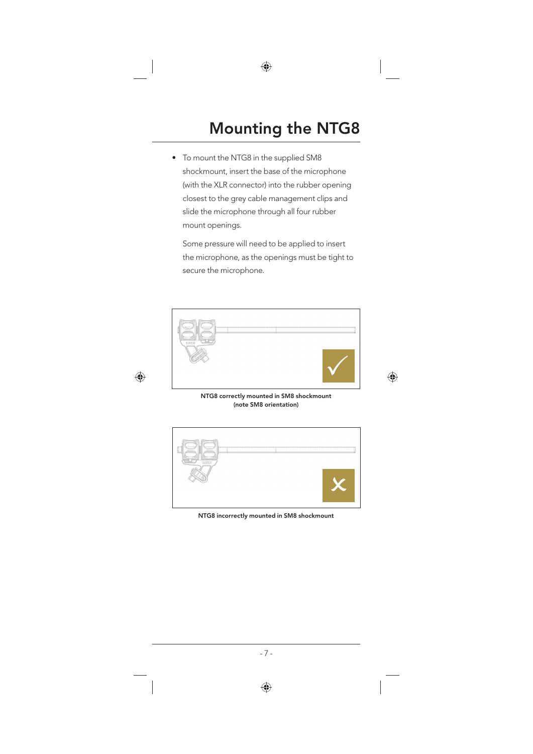# Mounting the NTG8

To mount the NTG8 in the supplied SM8 shockmount, insert the base of the microphone (with the XLR connector) into the rubber opening closest to the grey cable management clips and slide the microphone through all four rubber mount openings.

 Some pressure will need to be applied to insert the microphone, as the openings must be tight to secure the microphone.



NTG8 correctly mounted in SM8 shockmount (note SM8 orientation)



NTG8 incorrectly mounted in SM8 shockmount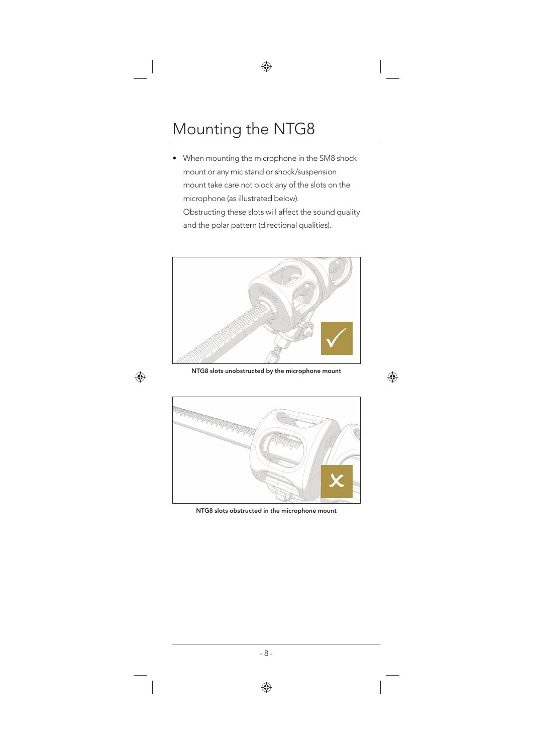# Mounting the NTG8

• When mounting the microphone in the SM8 shock mount or any mic stand or shock/suspension mount take care not block any of the slots on the microphone (as illustrated below). Obstructing these slots will affect the sound quality and the polar pattern (directional qualities).



NTG8 slots unobstructed by the microphone mount



NTG8 slots obstructed in the microphone mount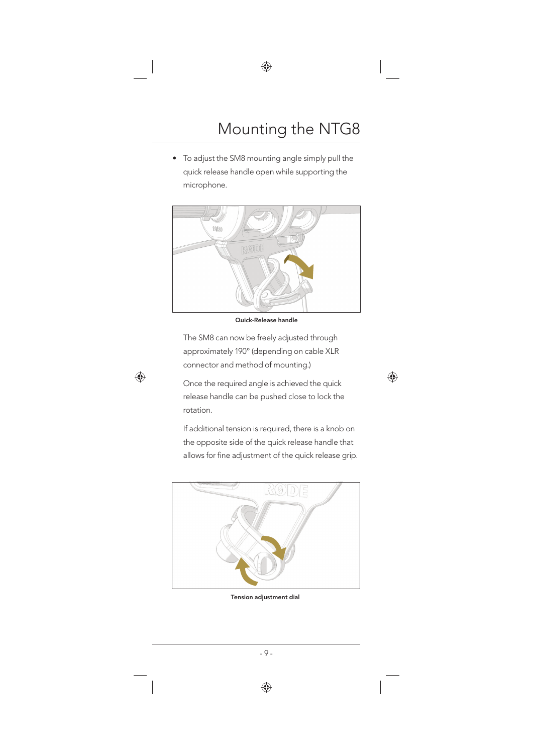• To adjust the SM8 mounting angle simply pull the quick release handle open while supporting the microphone.



Quick-Release handle

 The SM8 can now be freely adjusted through approximately 190° (depending on cable XLR connector and method of mounting.)

 Once the required angle is achieved the quick release handle can be pushed close to lock the rotation.

 If additional tension is required, there is a knob on the opposite side of the quick release handle that allows for fine adjustment of the quick release grip.



Tension adjustment dial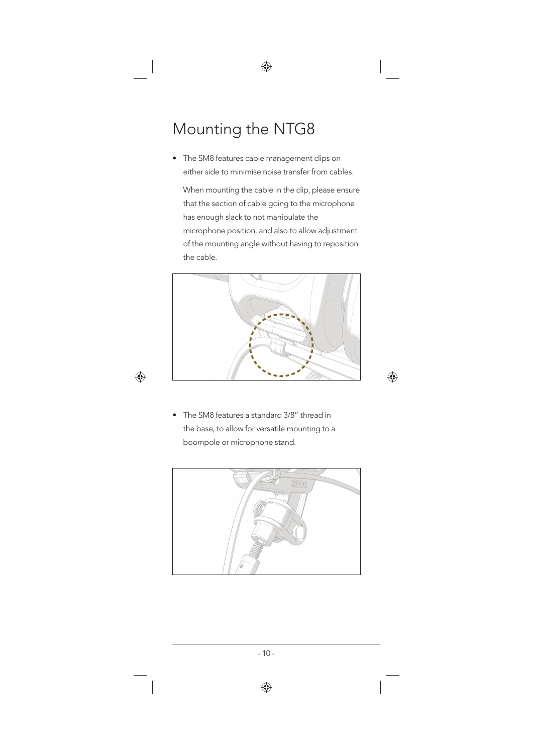# Mounting the NTG8

• The SM8 features cable management clips on either side to minimise noise transfer from cables.

 When mounting the cable in the clip, please ensure that the section of cable going to the microphone has enough slack to not manipulate the microphone position, and also to allow adjustment of the mounting angle without having to reposition the cable.



• The SM8 features a standard 3/8" thread in the base, to allow for versatile mounting to a boompole or microphone stand.

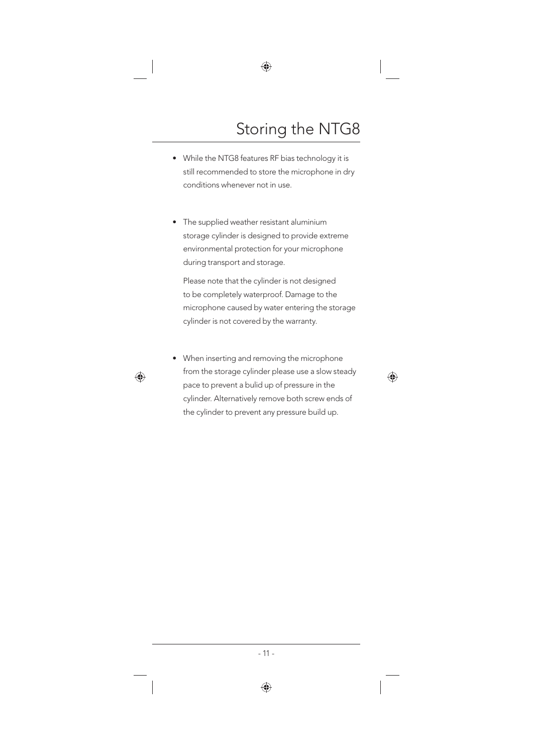# Storing the NTG8

- While the NTG8 features RF bias technology it is still recommended to store the microphone in dry conditions whenever not in use.
- The supplied weather resistant aluminium storage cylinder is designed to provide extreme environmental protection for your microphone during transport and storage.

 Please note that the cylinder is not designed to be completely waterproof. Damage to the microphone caused by water entering the storage cylinder is not covered by the warranty.

• When inserting and removing the microphone from the storage cylinder please use a slow steady pace to prevent a bulid up of pressure in the cylinder. Alternatively remove both screw ends of the cylinder to prevent any pressure build up.